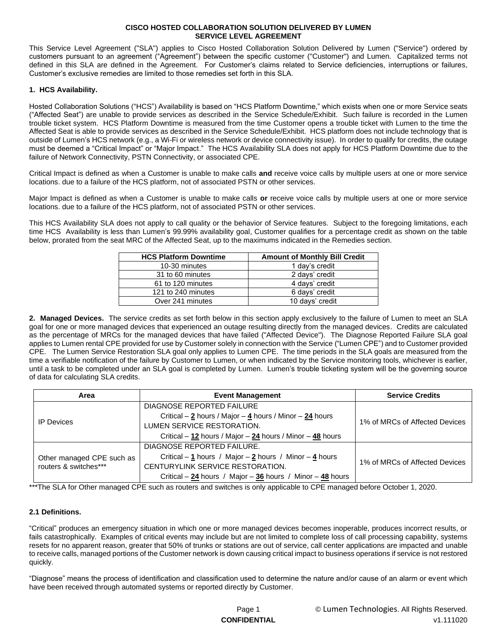This Service Level Agreement ("SLA") applies to Cisco Hosted Collaboration Solution Delivered by Lumen ("Service") ordered by customers pursuant to an agreement ("Agreement") between the specific customer ("Customer") and Lumen. Capitalized terms not defined in this SLA are defined in the Agreement. For Customer's claims related to Service deficiencies, interruptions or failures, Customer's exclusive remedies are limited to those remedies set forth in this SLA.

### **1. HCS Availability.**

Hosted Collaboration Solutions ("HCS") Availability is based on "HCS Platform Downtime," which exists when one or more Service seats ("Affected Seat") are unable to provide services as described in the Service Schedule/Exhibit. Such failure is recorded in the Lumen trouble ticket system. HCS Platform Downtime is measured from the time Customer opens a trouble ticket with Lumen to the time the Affected Seat is able to provide services as described in the Service Schedule/Exhibit. HCS platform does not include technology that is outside of Lumen's HCS network (e.g., a Wi-Fi or wireless network or device connectivity issue). In order to qualify for credits, the outage must be deemed a "Critical Impact" or "Major Impact." The HCS Availability SLA does not apply for HCS Platform Downtime due to the failure of Network Connectivity, PSTN Connectivity, or associated CPE.

Critical Impact is defined as when a Customer is unable to make calls **and** receive voice calls by multiple users at one or more service locations. due to a failure of the HCS platform, not of associated PSTN or other services.

Major Impact is defined as when a Customer is unable to make calls **or** receive voice calls by multiple users at one or more service locations. due to a failure of the HCS platform, not of associated PSTN or other services.

This HCS Availability SLA does not apply to call quality or the behavior of Service features. Subject to the foregoing limitations, each time HCS Availability is less than Lumen's 99.99% availability goal, Customer qualifies for a percentage credit as shown on the table below, prorated from the seat MRC of the Affected Seat, up to the maximums indicated in the Remedies section.

| <b>HCS Platform Downtime</b> | <b>Amount of Monthly Bill Credit</b> |
|------------------------------|--------------------------------------|
| 10-30 minutes                | 1 day's credit                       |
| 31 to 60 minutes             | 2 days' credit                       |
| 61 to 120 minutes            | 4 days' credit                       |
| 121 to 240 minutes           | 6 days' credit                       |
| Over 241 minutes             | 10 days' credit                      |

**2. Managed Devices.** The service credits as set forth below in this section apply exclusively to the failure of Lumen to meet an SLA goal for one or more managed devices that experienced an outage resulting directly from the managed devices. Credits are calculated as the percentage of MRCs for the managed devices that have failed ("Affected Device"). The Diagnose Reported Failure SLA goal applies to Lumen rental CPE provided for use by Customer solely in connection with the Service ("Lumen CPE") and to Customer provided CPE. The Lumen Service Restoration SLA goal only applies to Lumen CPE. The time periods in the SLA goals are measured from the time a verifiable notification of the failure by Customer to Lumen, or when indicated by the Service monitoring tools, whichever is earlier, until a task to be completed under an SLA goal is completed by Lumen. Lumen's trouble ticketing system will be the governing source of data for calculating SLA credits.

| <b>Event Management</b><br>Area                    |                                                              | <b>Service Credits</b>         |  |
|----------------------------------------------------|--------------------------------------------------------------|--------------------------------|--|
|                                                    | DIAGNOSE REPORTED FAILURE                                    |                                |  |
| <b>IP</b> Devices                                  | Critical $-2$ hours / Major $-4$ hours / Minor $-24$ hours   | 1% of MRCs of Affected Devices |  |
|                                                    | LUMEN SERVICE RESTORATION.                                   |                                |  |
|                                                    | Critical $-12$ hours / Major $-24$ hours / Minor $-48$ hours |                                |  |
|                                                    | DIAGNOSE REPORTED FAILURE.                                   |                                |  |
| Other managed CPE such as<br>routers & switches*** | Critical – 1 hours / Major – 2 hours / Minor – 4 hours       |                                |  |
|                                                    | CENTURYLINK SERVICE RESTORATION.                             | 1% of MRCs of Affected Devices |  |
|                                                    | Critical $-24$ hours / Major $-36$ hours / Minor $-48$ hours |                                |  |

\*\*\*The SLA for Other managed CPE such as routers and switches is only applicable to CPE managed before October 1, 2020.

# **2.1 Definitions.**

"Critical" produces an emergency situation in which one or more managed devices becomes inoperable, produces incorrect results, or fails catastrophically. Examples of critical events may include but are not limited to complete loss of call processing capability, systems resets for no apparent reason, greater that 50% of trunks or stations are out of service, call center applications are impacted and unable to receive calls, managed portions of the Customer network is down causing critical impact to business operations if service is not restored quickly.

"Diagnose" means the process of identification and classification used to determine the nature and/or cause of an alarm or event which have been received through automated systems or reported directly by Customer.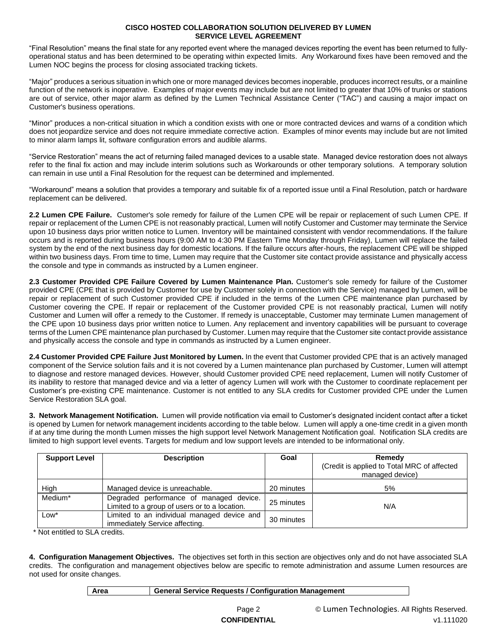"Final Resolution" means the final state for any reported event where the managed devices reporting the event has been returned to fullyoperational status and has been determined to be operating within expected limits. Any Workaround fixes have been removed and the Lumen NOC begins the process for closing associated tracking tickets.

"Major" produces a serious situation in which one or more managed devices becomes inoperable, produces incorrect results, or a mainline function of the network is inoperative. Examples of major events may include but are not limited to greater that 10% of trunks or stations are out of service, other major alarm as defined by the Lumen Technical Assistance Center ("TAC") and causing a major impact on Customer's business operations.

"Minor" produces a non-critical situation in which a condition exists with one or more contracted devices and warns of a condition which does not jeopardize service and does not require immediate corrective action. Examples of minor events may include but are not limited to minor alarm lamps lit, software configuration errors and audible alarms.

"Service Restoration" means the act of returning failed managed devices to a usable state. Managed device restoration does not always refer to the final fix action and may include interim solutions such as Workarounds or other temporary solutions. A temporary solution can remain in use until a Final Resolution for the request can be determined and implemented.

"Workaround" means a solution that provides a temporary and suitable fix of a reported issue until a Final Resolution, patch or hardware replacement can be delivered.

**2.2 Lumen CPE Failure.** Customer's sole remedy for failure of the Lumen CPE will be repair or replacement of such Lumen CPE. If repair or replacement of the Lumen CPE is not reasonably practical, Lumen will notify Customer and Customer may terminate the Service upon 10 business days prior written notice to Lumen. Inventory will be maintained consistent with vendor recommendations. If the failure occurs and is reported during business hours (9:00 AM to 4:30 PM Eastern Time Monday through Friday), Lumen will replace the failed system by the end of the next business day for domestic locations. If the failure occurs after-hours, the replacement CPE will be shipped within two business days. From time to time, Lumen may require that the Customer site contact provide assistance and physically access the console and type in commands as instructed by a Lumen engineer.

**2.3 Customer Provided CPE Failure Covered by Lumen Maintenance Plan.** Customer's sole remedy for failure of the Customer provided CPE (CPE that is provided by Customer for use by Customer solely in connection with the Service) managed by Lumen, will be repair or replacement of such Customer provided CPE if included in the terms of the Lumen CPE maintenance plan purchased by Customer covering the CPE. If repair or replacement of the Customer provided CPE is not reasonably practical, Lumen will notify Customer and Lumen will offer a remedy to the Customer. If remedy is unacceptable, Customer may terminate Lumen management of the CPE upon 10 business days prior written notice to Lumen. Any replacement and inventory capabilities will be pursuant to coverage terms of the Lumen CPE maintenance plan purchased by Customer. Lumen may require that the Customer site contact provide assistance and physically access the console and type in commands as instructed by a Lumen engineer.

**2.4 Customer Provided CPE Failure Just Monitored by Lumen.** In the event that Customer provided CPE that is an actively managed component of the Service solution fails and it is not covered by a Lumen maintenance plan purchased by Customer, Lumen will attempt to diagnose and restore managed devices. However, should Customer provided CPE need replacement, Lumen will notify Customer of its inability to restore that managed device and via a letter of agency Lumen will work with the Customer to coordinate replacement per Customer's pre-existing CPE maintenance. Customer is not entitled to any SLA credits for Customer provided CPE under the Lumen Service Restoration SLA goal.

**3. Network Management Notification.** Lumen will provide notification via email to Customer's designated incident contact after a ticket is opened by Lumen for network management incidents according to the table below. Lumen will apply a one-time credit in a given month if at any time during the month Lumen misses the high support level Network Management Notification goal. Notification SLA credits are limited to high support level events. Targets for medium and low support levels are intended to be informational only.

| <b>Support Level</b> | <b>Description</b>                                                                       | Goal       | Remedy<br>(Credit is applied to Total MRC of affected<br>managed device) |  |
|----------------------|------------------------------------------------------------------------------------------|------------|--------------------------------------------------------------------------|--|
| High                 | Managed device is unreachable.                                                           | 20 minutes | 5%                                                                       |  |
| Medium*              | Degraded performance of managed device.<br>Limited to a group of users or to a location. | 25 minutes | N/A                                                                      |  |
| Low*                 | Limited to an individual managed device and<br>immediately Service affecting.            | 30 minutes |                                                                          |  |

\* Not entitled to SLA credits.

**4. Configuration Management Objectives.** The objectives set forth in this section are objectives only and do not have associated SLA credits. The configuration and management objectives below are specific to remote administration and assume Lumen resources are not used for onsite changes.

| General Service Requests / Configuration Management<br>⊩ Area |  |
|---------------------------------------------------------------|--|
|---------------------------------------------------------------|--|

Page 2 © Lumen Technologies. All Rights Reserved. **CONFIDENTIAL** v1.111020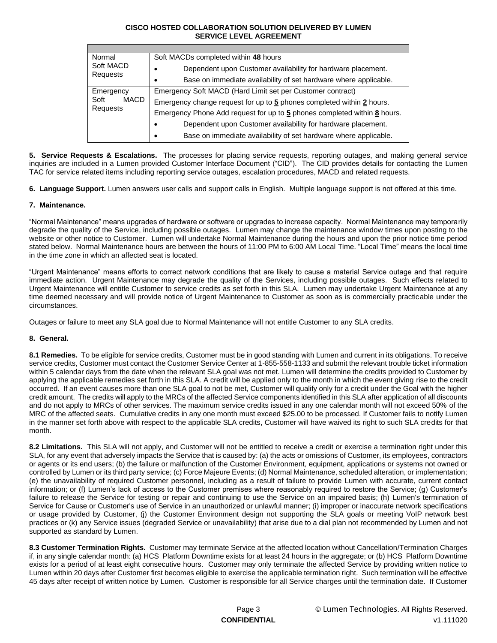| Normal<br>Soft MACD<br>Requests       | Soft MACDs completed within 48 hours                                     |
|---------------------------------------|--------------------------------------------------------------------------|
|                                       | Dependent upon Customer availability for hardware placement.             |
|                                       | Base on immediate availability of set hardware where applicable.         |
| Emergency<br>Soft<br>MACD<br>Requests | Emergency Soft MACD (Hard Limit set per Customer contract)               |
|                                       | Emergency change request for up to 5 phones completed within 2 hours.    |
|                                       | Emergency Phone Add request for up to 5 phones completed within 8 hours. |
|                                       | Dependent upon Customer availability for hardware placement.             |
|                                       | Base on immediate availability of set hardware where applicable.<br>٠    |

**5. Service Requests & Escalations.** The processes for placing service requests, reporting outages, and making general service inquiries are included in a Lumen provided Customer Interface Document ("CID"). The CID provides details for contacting the Lumen TAC for service related items including reporting service outages, escalation procedures, MACD and related requests.

**6. Language Support.** Lumen answers user calls and support calls in English. Multiple language support is not offered at this time.

# **7. Maintenance.**

"Normal Maintenance" means upgrades of hardware or software or upgrades to increase capacity. Normal Maintenance may temporarily degrade the quality of the Service, including possible outages. Lumen may change the maintenance window times upon posting to the website or other notice to Customer. Lumen will undertake Normal Maintenance during the hours and upon the prior notice time period stated below. Normal Maintenance hours are between the hours of 11:00 PM to 6:00 AM Local Time. "Local Time" means the local time in the time zone in which an affected seat is located.

"Urgent Maintenance" means efforts to correct network conditions that are likely to cause a material Service outage and that require immediate action. Urgent Maintenance may degrade the quality of the Services, including possible outages. Such effects related to Urgent Maintenance will entitle Customer to service credits as set forth in this SLA. Lumen may undertake Urgent Maintenance at any time deemed necessary and will provide notice of Urgent Maintenance to Customer as soon as is commercially practicable under the circumstances.

Outages or failure to meet any SLA goal due to Normal Maintenance will not entitle Customer to any SLA credits.

# **8. General.**

**8.1 Remedies.** To be eligible for service credits, Customer must be in good standing with Lumen and current in its obligations. To receive service credits, Customer must contact the Customer Service Center at 1-855-558-1133 and submit the relevant trouble ticket information within 5 calendar days from the date when the relevant SLA goal was not met. Lumen will determine the credits provided to Customer by applying the applicable remedies set forth in this SLA. A credit will be applied only to the month in which the event giving rise to the credit occurred. If an event causes more than one SLA goal to not be met, Customer will qualify only for a credit under the Goal with the higher credit amount. The credits will apply to the MRCs of the affected Service components identified in this SLA after application of all discounts and do not apply to MRCs of other services. The maximum service credits issued in any one calendar month will not exceed 50% of the MRC of the affected seats. Cumulative credits in any one month must exceed \$25.00 to be processed. If Customer fails to notify Lumen in the manner set forth above with respect to the applicable SLA credits, Customer will have waived its right to such SLA credits for that month.

**8.2 Limitations.** This SLA will not apply, and Customer will not be entitled to receive a credit or exercise a termination right under this SLA, for any event that adversely impacts the Service that is caused by: (a) the acts or omissions of Customer, its employees, contractors or agents or its end users; (b) the failure or malfunction of the Customer Environment, equipment, applications or systems not owned or controlled by Lumen or its third party service; (c) Force Majeure Events; (d) Normal Maintenance, scheduled alteration, or implementation; (e) the unavailability of required Customer personnel, including as a result of failure to provide Lumen with accurate, current contact information; or (f) Lumen's lack of access to the Customer premises where reasonably required to restore the Service; (g) Customer's failure to release the Service for testing or repair and continuing to use the Service on an impaired basis; (h) Lumen's termination of Service for Cause or Customer's use of Service in an unauthorized or unlawful manner; (i) improper or inaccurate network specifications or usage provided by Customer, (j) the Customer Environment design not supporting the SLA goals or meeting VoIP network best practices or (k) any Service issues (degraded Service or unavailability) that arise due to a dial plan not recommended by Lumen and not supported as standard by Lumen.

**8.3 Customer Termination Rights.** Customer may terminate Service at the affected location without Cancellation/Termination Charges if, in any single calendar month: (a) HCS Platform Downtime exists for at least 24 hours in the aggregate; or (b) HCS Platform Downtime exists for a period of at least eight consecutive hours. Customer may only terminate the affected Service by providing written notice to Lumen within 20 days after Customer first becomes eligible to exercise the applicable termination right. Such termination will be effective 45 days after receipt of written notice by Lumen. Customer is responsible for all Service charges until the termination date. If Customer